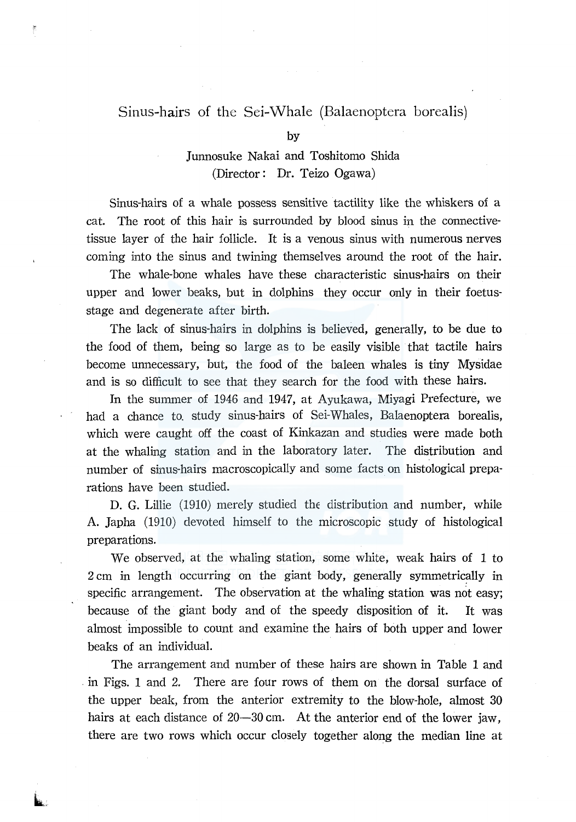## Sinus-hairs of the Sei-Whale (Balaenoptera borealis)

kis...

## Junnosuke Nakai and Toshitomo Shida (Director: Dr. Teizo Ogawa)

Sinus-hairs of a whale possess sensitive tactility like the whiskers of a cat. The root of this hair is surrounded by blood sinus in the connectivetissue layer of the hair follicle. It is a venous sinus with numerous nerves coming into the sinus and twining themselves around the root of the hair.

The whale-bone whales have these characteristic sinus-hairs on their upper and lower beaks, but in dolphins they occur only in their foetusstage and degenerate after birth.

The lack of sinus-hairs in dolphins is believed, generally, to be due to the food of them, being so large as to be easily visible that tactile hairs become unnecessary, but, the food of the baleen whales is tiny Mysidae and is so difficult to see that they search for the food with these hairs.

In the summer of 1946 and 1947, at Ayukawa, Miyagi Prefecture, we had a chance to. study sinus-hairs of Sei-Whales, Balaenoptera borealis, which were caught off the coast of Kinkazan and studies were made both at the whaling station and in the laboratory later. The distribution and number of sinus-hairs macroscopically and some facts on histological preparations have been studied.

D. G. Lillie (1910) merely studied the distribution and number, while A. Japha (1910) devoted himself to the microscopic study of histological preparations.

We observed, at the whaling station, some white, weak hairs of 1 to  $2 \text{ cm}$  in length occurring on the giant body, generally symmetrically in specific arrangement. The observation at the whaling station was not easy; because of the giant body and of the speedy disposition of it. It was almost impossible to count and examine the hairs of both upper and lower beaks of an individual.

The arrangement and number of these hairs are shown in Table 1 and . in Figs. 1 and 2. There are four rows of them on the dorsal surface of the upper beak, from the anterior extremity to the blow-hole, almost 30 hairs at each distance of 20-30 cm. At the anterior end of the lower jaw, there are two rows which occur closely together along the median line at

by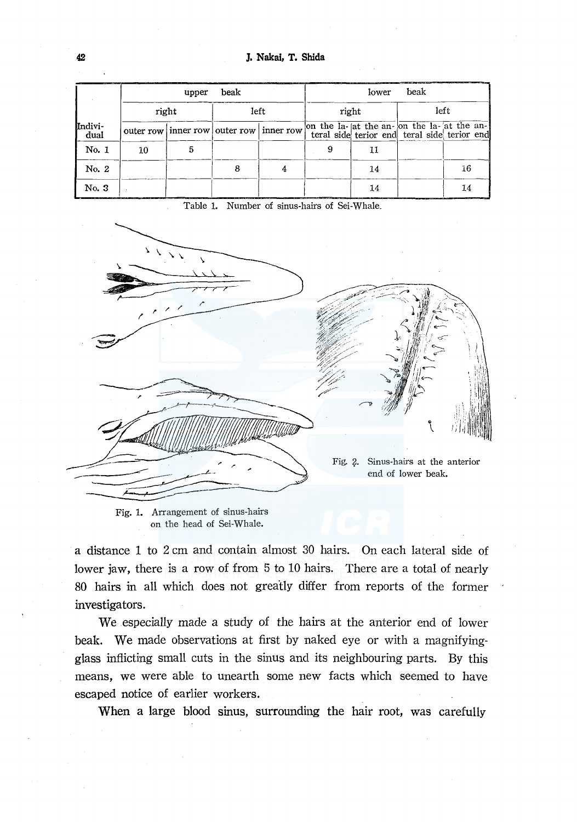|                 | beak<br>upper |  |                                          |  | beak<br>lower |    |      |                                                                                            |
|-----------------|---------------|--|------------------------------------------|--|---------------|----|------|--------------------------------------------------------------------------------------------|
|                 | right         |  | left                                     |  | right         |    | left |                                                                                            |
| Indivi-<br>dual |               |  | outer row inner row outer row inner row. |  |               |    |      | on the la- at the an- on the la- at the an-<br>teral side terior end teral side terior end |
| No. 1           | 10            |  |                                          |  |               |    |      |                                                                                            |
| No. 2           |               |  |                                          |  |               | 14 |      | 16                                                                                         |
| No. 3           |               |  |                                          |  |               | 14 |      | 14                                                                                         |

Table 1. Number of sinus-hairs of Sei-Whale\_



Fig. 1. Arrangement of sinus-hairs on the head of Sei-Whale.

a distance 1 to 2 cm and contain almost 30 hairs. On each lateral side of lower jaw, there is a row of from 5 to 10 hairs. There are a total of nearly 80 hairs in all which does not greatly differ from reports of the former investigators.

We especially made a study of the hairs at the anterior end of lower beak. We made observations at first by naked eye or with a magnifyingglass inflicting small cuts in the sinus and its neighbouring parts. By this means, we were able to unearth some new facts which seemed to have escaped notice of earlier workers.

When a large blood sinus, surrounding the hair root, was carefully

 $42$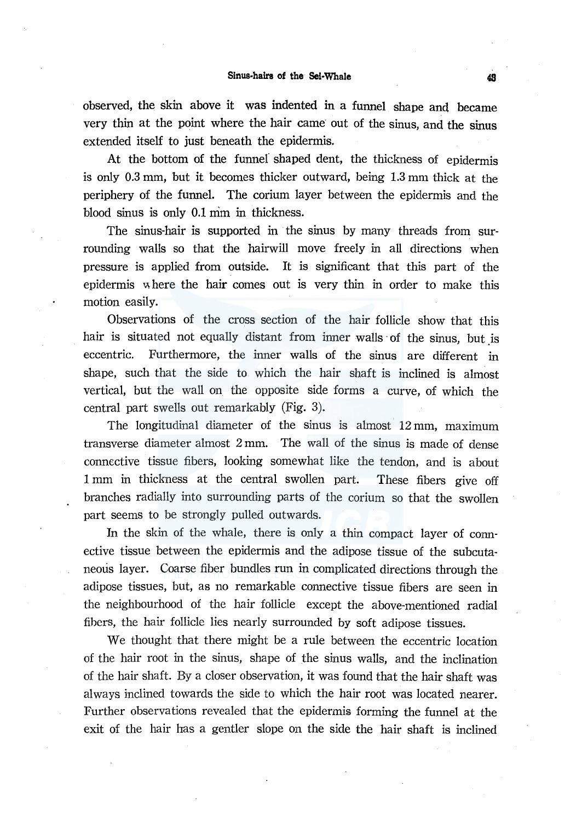observed, the skin above it was indented in a funnel shape and became very thin at the point where the hair came out of the sinus, and the sinus extended itself to just beneath the epidermis.

At the bottom of the funnef shaped dent, the thickness of epidermis is only 0.3 mm, but it becomes thicker outward, being 1.3 mm thick at the periphery of the funnel. The corium layer between the epidermis and the blood sinus is only 0.1 mm in thickness.

The sinus-hair is supported in the sinus by many threads from surrounding walls so that the hairwill move freely in all directions when pressure is applied from outside. It is significant that this part of the epidermis where the hair comes out is very thin in order to make this motion easily.

Observations of the cross section of the hair follicle show that this hair is situated not equally distant from inner walls of the sinus, but is eccentric. Furthermore, the inner walls of the sinus are different in shape, such that the side to which the hair shaft is inclined is almost vertical, but the wall on the opposite side forms a curve, of which the central part swells out remarkably (Fig. 3).

The longitudinal diameter of the sinus is almost 12 mm, maximum transverse diameter almost 2 mm. The wall of the sinus is made of dense connective tissue fibers, looking somewhat like the tendon, and is about 1 mm in thickness at the central swollen part. These fibers give off branches radially into surrounding parts of the corium so that the swollen part seems to be strongly pulled outwards.

In the skin of the whale, there is only a thin compact layer of connective tissue between the epidermis and the adipose tissue of the subcutaneous layer. Coarse fiber bundles run in complicated directions through the adipose tissues, but, as no remarkable connective tissue fibers are seen in the neighbourhood of the hair follicle except the above-mentioned radial fihers, the hair follicle lies nearly surrounded by soft adipose tissues.

We thought that there might be a rule between the eccentric location of the hair root in the sinus, shape of the sinus walls, and the inclination of the hair shaft. By a closer observation, it was found that the hair shaft was always inclined towards the side to which the hair root was located nearer. Further observations revealed that the epidermis forming the funnel at the exit of the hair has a gentler slope on the side the hair shaft is inclined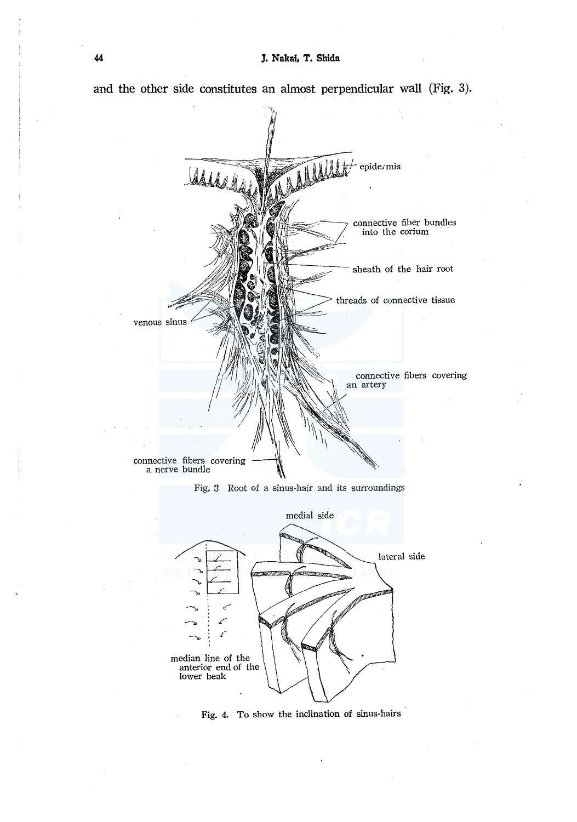

**and the other side constitutes an almost perpendicular wall (Fig.** 3).

Fig, 3 Root of a sinus-hair and its surroundings



Fig. 4, To show the inclination of sinus-hairs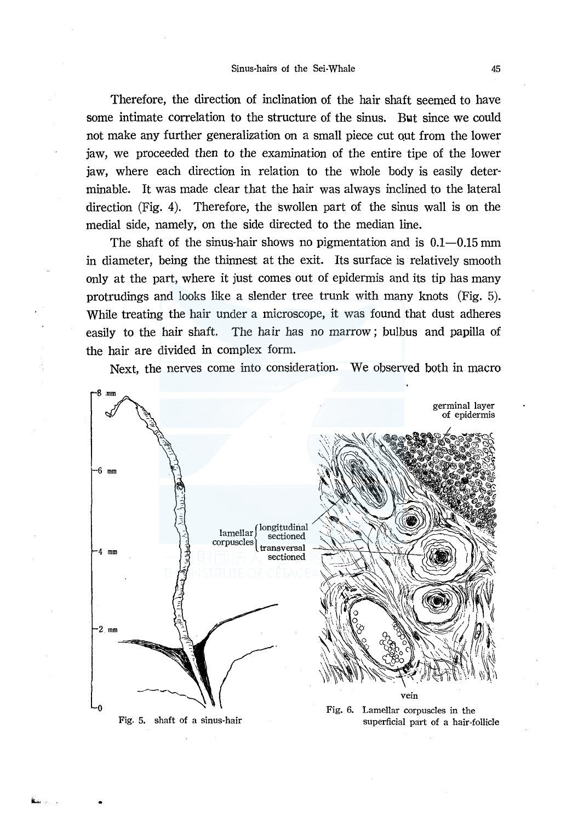Therefore, the direction of inclination of the hair shaft seemed to have some intimate correlation to the structure of the sinus. Bwt since we could not make any further generalization on a small piece cut out from the lower jaw, we proceeded then to the examination of the entire tipe of the lower jaw, where each direction in relation to the whole body is easily determinable. It was made clear that the hair was always inclined to the lateral direction (Fig. 4). Therefore, the swollen part of the sinus wall is on the medial side, namely, on the side directed to the median line.

The shaft of the sinus-hair shows no pigmentation and is  $0.1-0.15$  mm in diameter, being the thinnest at the exit. Its surface is relatively smooth only at the part, where it just comes out of epidermis and its tip has many protrudings and looks like a slender tree trunk with many knots (Fig. 5). While treating the hair under a microscope, it was found that dust adheres easily to the hair shaft. The hair has no marrow; bulbus and papilla of the hair are divided in complex form.

Next, the nerves come into consideration. We observed both in macro



Fig. 5. shaft of a sinus-hair

superficial part of a hair-follicle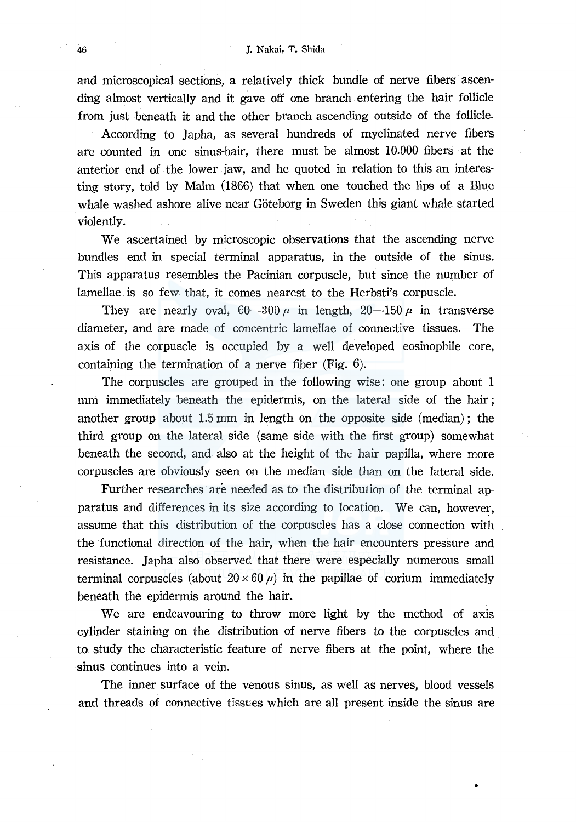and microscopical sections, a relatively thick bundle of nerve fibers ascending almost vertically and it gave off one branch entering the hair follicle from just beneath it and the other branch ascending outside of the follicle.

According to Japha, as several hundreds of myelinated nerve fibers are counted in one sinus-hair, there must be almost 10.000 fibers at the anterior end of the lower jaw, and he quoted in relation to this an interesting story, told by Malm (1866) that when one touched the lips of a Blue whale washed ashore alive near Göteborg in Sweden this giant whale started violently.

We ascertained by microscopic observations that the ascending nerve bundles end in special terminal apparatus, in the outside of the sinus. This apparatus resembles the Pacinian corpuscle, but since the number of lamellae is so few that, it comes nearest to the Herbsti's corpuscle.

They are nearly oval,  $60-300 \mu$  in length,  $20-150 \mu$  in transverse diameter, and are made of concentric lamellae of connective tissues. The axis of the corpuscle is occupied by a well developed eosinophile core, containing the termination of a nerve fiber (Fig. 6).

The corpuscles are grouped in the following wise: one group about 1 mm immediately beneath the epidermis, on the lateral side of the hair; another group about 1.5 mm in length on the opposite side (median); the third group on the lateral side (same side with the first group) somewhat beneath the second, and also at the height of the hair papilla, where more corpuscles are obviously seen on the median side than on the lateral side.

Further researches are needed as to the distribution of the terminal apparatus and differences in its size according to location. We can, however, assume that this distribution of the corpuscles has a close connection with the functional direction of the hair, when the hair encounters pressure and resistance. Japha also observed that there were especially numerous small terminal corpuscles (about  $20 \times 60 \mu$ ) in the papillae of corium immediately beneath the epidermis around the hair.

We are endeavouring to throw more light by the method of axis cylinder staining on the distribution of nerve fibers to the corpuscles and to study the characteristic feature of nerve fibers at the point, where the sinus continues into a vein.

The inner surface of the venous sinus, as well as nerves, blood vessels and threads of connective tissues which are all present inside the sinus are

•